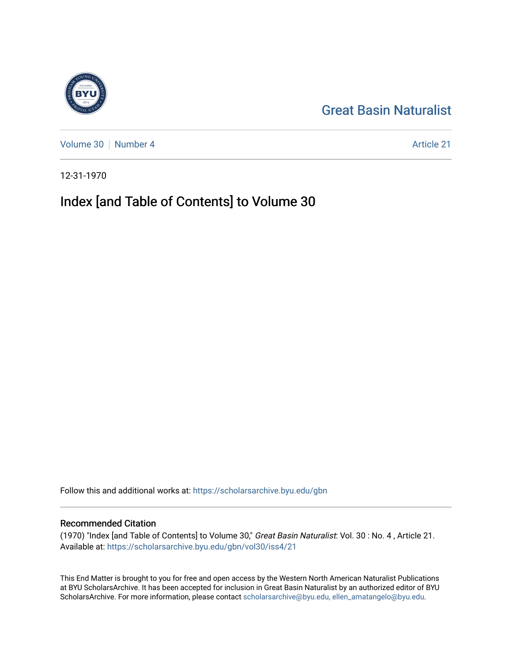## [Great Basin Naturalist](https://scholarsarchive.byu.edu/gbn)

[Volume 30](https://scholarsarchive.byu.edu/gbn/vol30) [Number 4](https://scholarsarchive.byu.edu/gbn/vol30/iss4) Article 21

12-31-1970

## Index [and Table of Contents] to Volume 30

Follow this and additional works at: [https://scholarsarchive.byu.edu/gbn](https://scholarsarchive.byu.edu/gbn?utm_source=scholarsarchive.byu.edu%2Fgbn%2Fvol30%2Fiss4%2F21&utm_medium=PDF&utm_campaign=PDFCoverPages) 

#### Recommended Citation

(1970) "Index [and Table of Contents] to Volume 30," Great Basin Naturalist: Vol. 30 : No. 4 , Article 21. Available at: [https://scholarsarchive.byu.edu/gbn/vol30/iss4/21](https://scholarsarchive.byu.edu/gbn/vol30/iss4/21?utm_source=scholarsarchive.byu.edu%2Fgbn%2Fvol30%2Fiss4%2F21&utm_medium=PDF&utm_campaign=PDFCoverPages) 

This End Matter is brought to you for free and open access by the Western North American Naturalist Publications at BYU ScholarsArchive. It has been accepted for inclusion in Great Basin Naturalist by an authorized editor of BYU ScholarsArchive. For more information, please contact [scholarsarchive@byu.edu, ellen\\_amatangelo@byu.edu.](mailto:scholarsarchive@byu.edu,%20ellen_amatangelo@byu.edu)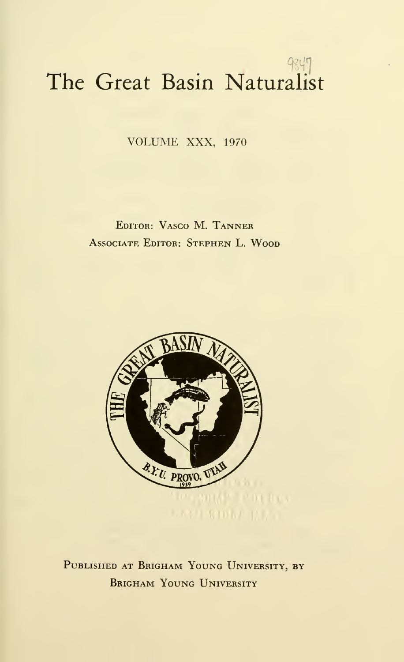# The Great Basin Naturalist

VOLUME XXX, <sup>1970</sup>

Editor: Vasco M. Tanner Associate Editor: Stephen L. Wood



PUBLISHED AT BRIGHAM YOUNG UNIVERSITY, BY Brigham Young University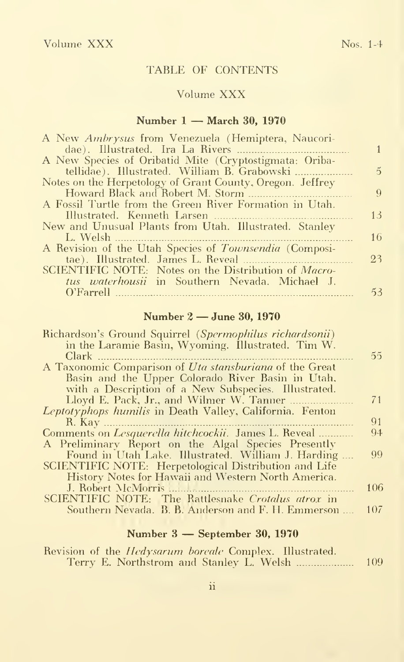#### TABLE OF CONTENTS

#### Volume XXX

#### Number <sup>1</sup> — March 30, <sup>1970</sup>

| A New <i>Ambrysus</i> from Venezuela (Hemiptera, Naucori-   |               |
|-------------------------------------------------------------|---------------|
|                                                             |               |
| A New Species of Oribatid Mite (Cryptostigmata: Oriba-      |               |
| tellidae). Illustrated. William B. Grabowski                | $\mathcal{D}$ |
| Notes on the Herpetology of Grant County, Oregon. Jeffrey   |               |
|                                                             | 9             |
| A Fossil Turtle from the Green River Formation in Utah.     |               |
|                                                             | 13            |
| New and Unusual Plants from Utah. Illustrated. Stanley      |               |
| L. Welsh                                                    | 16            |
| A Revision of the Utah Species of Townsendia (Composi-      |               |
|                                                             | 23            |
| SCIENTIFIC NOTE: Notes on the Distribution of <i>Macro-</i> |               |
| tus waterhousii in Southern Nevada. Michael J.              |               |
|                                                             | 53            |

#### Number <sup>2</sup> —June 30, <sup>1970</sup>

| Richardson's Ground Squirrel (Spermophilus richardsonii)     |     |
|--------------------------------------------------------------|-----|
| in the Laramie Basin, Wyoming. Illustrated. Tim W.           |     |
| Clark                                                        | 55  |
| A Taxonomic Comparison of Uta stansburiana of the Great      |     |
| Basin and the Upper Colorado River Basin in Utah.            |     |
| with a Description of a New Subspecies. Illustrated.         |     |
|                                                              | 71  |
| Leptotyphops humilis in Death Valley, California. Fenton     |     |
| R. Kav                                                       | 91  |
| Comments on <i>Lesquerella hitchcockii</i> . James L. Reveal | 94  |
| A Preliminary Report on the Algal Species Presently          |     |
| Found in Utah Lake. Illustrated. William J. Harding          | 99  |
| SCIENTIFIC NOTE: Herpetological Distribution and Life        |     |
| History Notes for Hawaii and Western North America.          |     |
| J. Robert McMorris                                           | 106 |
| SCIENTIFIC NOTE: The Rattlesnake Crotalus atrox in           |     |
| Southern Nevada. B. B. Anderson and F. H. Emmerson           | 107 |
|                                                              |     |

#### Number <sup>3</sup> — September 30, <sup>1970</sup>

|  |  | Revision of the <i>Hedysarum boreale</i> Complex. Illustrated. |     |
|--|--|----------------------------------------------------------------|-----|
|  |  |                                                                | 109 |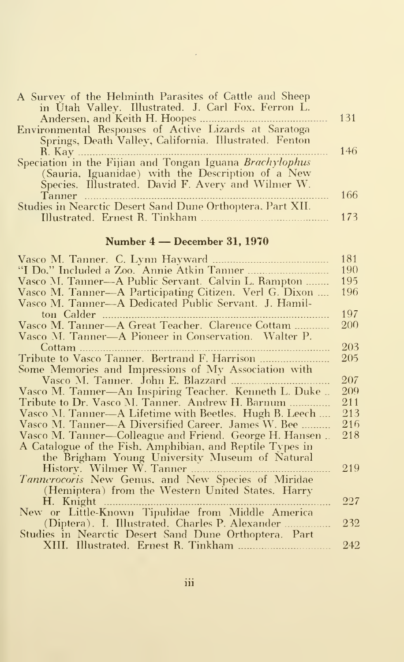| A Survey of the Helminth Parasites of Cattle and Sheep     |     |
|------------------------------------------------------------|-----|
| in Utah Valley. Illustrated. J. Carl Fox. Ferron L.        |     |
|                                                            | 131 |
| Environmental Responses of Active Lizards at Saratoga      |     |
| Springs, Death Valley, California. Illustrated. Fenton     |     |
|                                                            | 146 |
| Speciation in the Fijian and Tongan Iguana Brachylophus    |     |
| (Sauria, Iguanidae) with the Description of a New          |     |
| Species. Illustrated. David F. Avery and Wilmer W.         |     |
| Tanner                                                     | 166 |
| Studies in Nearctic Desert Sand Dune Orthoptera, Part XII. |     |
|                                                            | 173 |

### Number <sup>4</sup> — December 31, <sup>1970</sup>

|                                                          | 181 |
|----------------------------------------------------------|-----|
|                                                          | 190 |
| Vasco M. Tanner—A Public Servant. Calvin L. Rampton      | 195 |
| Vasco M. Tanner—A Participating Citizen. Verl G. Dixon   | 196 |
| Vasco M. Tanner—A Dedicated Public Servant. J. Hamil-    |     |
| ton Calder                                               | 197 |
| Vasco M. Tanner-A Great Teacher. Clarence Cottam         | 200 |
| Vasco M. Tanner—A Pioneer in Conservation. Walter P.     |     |
| Cottam                                                   | 203 |
|                                                          | 205 |
| Some Memories and Impressions of My Association with     |     |
|                                                          | 207 |
| Vasco M. Tanner-An Inspiring Teacher. Kenneth L. Duke    | 209 |
| Tribute to Dr. Vasco M. Tanner. Andrew H. Barnum         | 211 |
| Vasco M. Tanner-A Lifetime with Beetles. Hugh B. Leech   | 213 |
| Vasco M. Tanner—A Diversified Career. James W. Bee       | 216 |
| Vasco M. Tanner—Colleague and Friend. George H. Hansen   | 218 |
| A Catalogue of the Fish, Amphibian, and Reptile Types in |     |
| the Brigham Young University Museum of Natural           |     |
|                                                          | 219 |
| Tannerocoris New Genus, and New Species of Miridae       |     |
| (Hemiptera) from the Western United States. Harry        |     |
| H. Knight                                                | 227 |
| New or Little-Known Tipulidae from Middle America        |     |
| (Diptera). I. Illustrated. Charles P. Alexander          | 232 |
| Studies in Nearctic Desert Sand Dune Orthoptera. Part    |     |
|                                                          | 242 |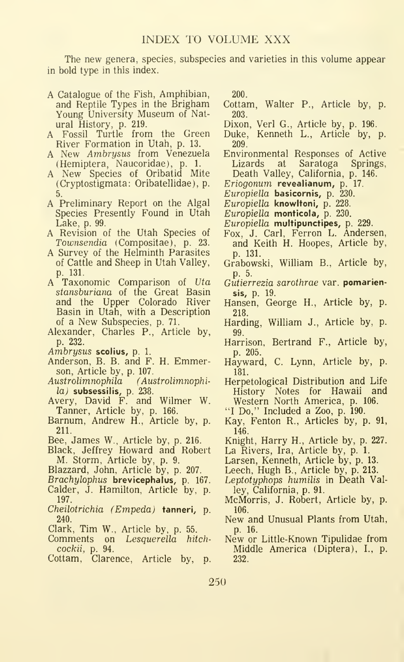The new genera, species, subspecies and varieties in this volume appear in bold type in this index.

- A Catalogue of the Fish, Amphibian, and Reptile Types in the Brigham Young University Museum of Natural History, p. 219.
- A Fossil Turtle from the Green River Formation in Utah, p. 13.
- A New Ambrysus from Venezuela Environment (Hemiptera, Naucoridae), p. 1. Lizards (Hemiptera, Naucoridae), p. 1.
- A New Species of Oribatid Mite (Cryptostigmata: Oribatellidae), p. 5.
- A Preliminary Report on the Algal Species Presently Found in Utah Lake, p. 99.
- A Revision of the Utah Species of Townsendia (Compositae), p. 23.
- A Survey of the Helminth Parasites of Cattle and Sheep in Utah Valley, p. 131.
- A Taxonomic Comparison of Uta stansburiana of the Great Basin and the Upper Colorado River Basin in Utah, with a Description of a New Subspecies, p. 71.
- Alexander, Charles P., Article by, p. 232.
- Ambrysus scolius, p. 1.
- Anderson, B. B. and F. H. Emmerson, Article by, p. 107.
- Austrolimnophila (Austrolimnophi-
- *la)* subsessilis, p. 238.<br>Avery, David F. and Wilmer W. Tanner, Article by, p. 166.
- Barnum, Andrew H., Article by, p. 211.
- Bee, James W., Article by, p. 216.
- Black, Jeffrey Howard and Robert M. Storm, Article by, p. 9.
- Blazzard, John, Article by, p. 207.
- Brachylophus brevicephalus, p. 167.
- Calder, J. Hamilton, Article by, p. 197.
- Cheilotrichia (Empeda) tanneri, p. 240.
- Clark, Tim W., Article by, p. 55.
- Comments on Lesquerella hitchcockii, p. 94.
- Cottam, Clarence, Article by, p.

200.

- Cottam, Walter P., Article by, p. 203.
- Dixon, Verl G., Article by, p. 196.
- Duke, Kenneth L., Article by, p. 209.
- Environmental Responses of Active Saratoga Death Valley, California, p. 146.
- Eriogonum revealianum, p. 17.
- Europiella basicornis, p. 230.
- Europiella knowltoni, p. 228.
- Europiella monticola, p. 230.
- Europiella multipunctipes, p. 229.
- Fox, J. Carl, Ferron L. Andersen,
- and Keith H. Hoopes, Article by, p. 131.
- Grabowski, William B., Article by, p. 5.
- Gutierrezia sarothrae var. pomariensis, p. 19.
- Hansen, George H., Article by, p. 218.
- Harding, William J., Article by, p. 99.
- Harrison, Bertrand F., Article by, p. 205.
- Hayward, C. Lynn, Article by, p. 181.
- Herpetological Distribution and Life History Notes for Hawaii and Western North America, p. 106.
- "I Do," Included a Zoo, p. 190.
- Kay, Fenton R., Articles by, p. 91, 146.
- Knight, Harry H., Article by, p. 227.
- La Rivers, Ira, Article by, p. 1.

Larsen, Kenneth, Article by, p. 13.

- Leech, Hugh B., Article by, p. 213.
- Leptotyphops humilis in Death Valley, California, p. 91.
- McMorris, J. Robert, Article by, p. 106.
- New and Unusual Plants from Utah, p. 16. New or Little-Known Tipulidae from
- Middle America (Diptera), I., p. 232.

250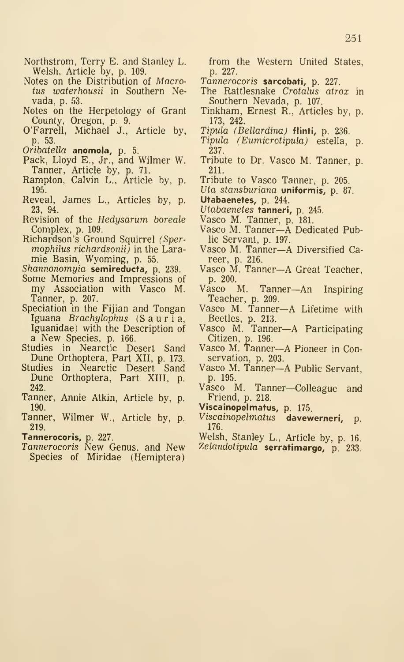- Northstrom, Terry E. and Stanley L. Welsh, Article by, p. 109.
- Notes on the Distribution of Macrotus waterhousii in Southern Nevada, p. 53.
- Notes on the Herpetology of Grant County, Oregon, p. 9.
- O'Farrell, Michael J., Article by, p. 53.
- Oribatella anomola, p. 5.
- Pack, Lloyd E., Jr., and Wilmer W. Tanner, Article by, p. 71.
- Rampton, Calvin L., Article by, p. 195.
- Reveal, James L., Articles by, p. 23, 94.
- Revision of the Hedysarum boreale Complex, p. 109.
- Richardson's Ground Squirrel (Spermophilus richardsonii) in the Lara mie Basin, Wyoming, p. 55.
- Shannonomyia semireducta, p. 239.
- Some Memories and Impressions of p. 20<br>my Association with Vasco M. Vasco Tanner, p. 207.
- Speciation in the Fijian and Tongan Iguana Brachylophus (Sauria, Iguanidae) with the Description of a New Species, p. 166.
- Studies in Nearctic Desert Sand Dune Orthoptera, Part XII, p. 173.
- Studies in Nearctic Desert Sand Dune Orthoptera, Part XIII, p. 242.
- Tanner, Annie Atkin, Article by, p. 190.
- Tanner, Wilmer W., Article by, p. 219.
- Tannerocoris, p. 227.
- Tannerocoris New Genus, and New Species of Miridae (Hemiptera)

from the Western United States, p. 227.

- Tannerocoris sarcobati, p. 227.
- The Rattlesnake Crotalus atrox in Southern Nevada, p. 107.
- Tinkham, Ernest R., Articles by, p. 173, 242.
- Tipula (Bellardina) flinti, p. 236.
- Tipula (Eumicrotipula) estella, p. 237.
- Tribute to Dr. Vasco M. Tanner, p. 211.
- Tribute to Vasco Tanner, p. 205.
- Uta stansburiana **uniformis**, p. 87.

Utabaenetes, p. 244.

- Utabaenetes tanneri, p. 245.
- Vasco M. Tanner, p. 181.
- Vasco M. Tanner—A Dedicated Public Servant, p. 197.
- Vasco M. Tanner—A Diversified Ca-
- reer, p. 216.<br>Vasco M. Tanner—A Great Teacher, p. 200.<br>asco M.
- Tanner—An Inspiring Teacher, p. 209.
- Vasco M. Tanner—A Lifetime with Beetles, p. 213.
- Vasco M. Tanner—A Participating
- Citizen, p. 196. Vasco M. Tanner—A Pioneer in Conservation, p. 203.
- Vasco M. Tanner—A Public Servant, p. 195.
- Vasco M. Tanner—Colleague and Friend, p. 218.
- Viscainopelmatus, p. 175.
- Viscainopelmatus davewerneri, p. 176.
- Welsh, Stanley L., Article by, p. 16. Zelandotipula serratimargo, p. 233.